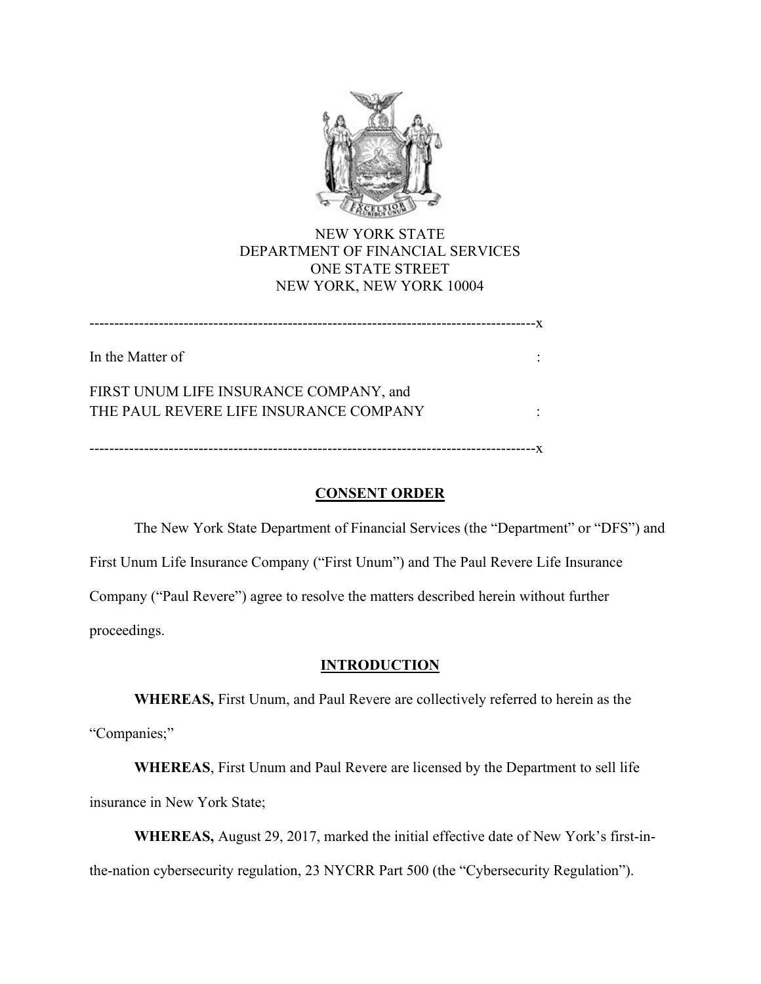

# NEW YORK STATE DEPARTMENT OF FINANCIAL SERVICES ONE STATE STREET NEW YORK, NEW YORK 10004

------------------------------------------------------------------------------------------x In the Matter of : FIRST UNUM LIFE INSURANCE COMPANY, and THE PAUL REVERE LIFE INSURANCE COMPANY :

------------------------------------------------------------------------------------------x

# CONSENT ORDER

The New York State Department of Financial Services (the "Department" or "DFS") and First Unum Life Insurance Company ("First Unum") and The Paul Revere Life Insurance Company ("Paul Revere") agree to resolve the matters described herein without further proceedings.

## **INTRODUCTION**

WHEREAS, First Unum, and Paul Revere are collectively referred to herein as the "Companies;"

WHEREAS, First Unum and Paul Revere are licensed by the Department to sell life insurance in New York State;

WHEREAS, August 29, 2017, marked the initial effective date of New York's first-inthe-nation cybersecurity regulation, 23 NYCRR Part 500 (the "Cybersecurity Regulation").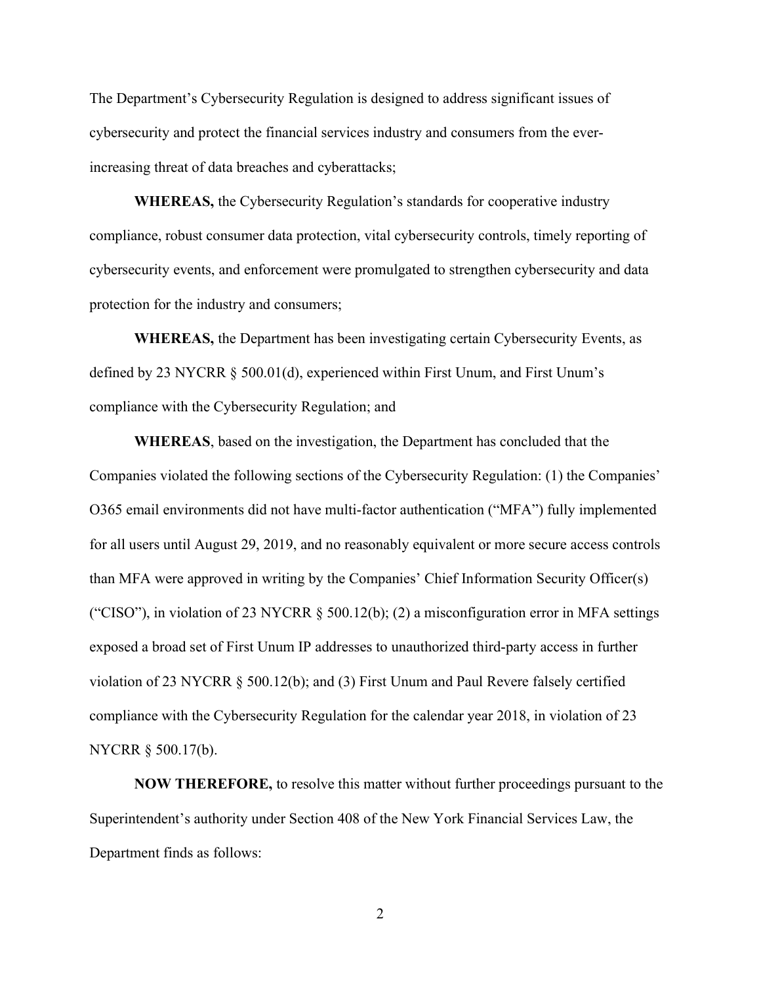The Department's Cybersecurity Regulation is designed to address significant issues of cybersecurity and protect the financial services industry and consumers from the everincreasing threat of data breaches and cyberattacks;

WHEREAS, the Cybersecurity Regulation's standards for cooperative industry compliance, robust consumer data protection, vital cybersecurity controls, timely reporting of cybersecurity events, and enforcement were promulgated to strengthen cybersecurity and data protection for the industry and consumers;

WHEREAS, the Department has been investigating certain Cybersecurity Events, as defined by 23 NYCRR § 500.01(d), experienced within First Unum, and First Unum's compliance with the Cybersecurity Regulation; and

WHEREAS, based on the investigation, the Department has concluded that the Companies violated the following sections of the Cybersecurity Regulation: (1) the Companies' O365 email environments did not have multi-factor authentication ("MFA") fully implemented for all users until August 29, 2019, and no reasonably equivalent or more secure access controls than MFA were approved in writing by the Companies' Chief Information Security Officer(s) ("CISO"), in violation of 23 NYCRR  $\S$  500.12(b); (2) a misconfiguration error in MFA settings exposed a broad set of First Unum IP addresses to unauthorized third-party access in further violation of 23 NYCRR § 500.12(b); and (3) First Unum and Paul Revere falsely certified compliance with the Cybersecurity Regulation for the calendar year 2018, in violation of 23 NYCRR § 500.17(b).

NOW THEREFORE, to resolve this matter without further proceedings pursuant to the Superintendent's authority under Section 408 of the New York Financial Services Law, the Department finds as follows: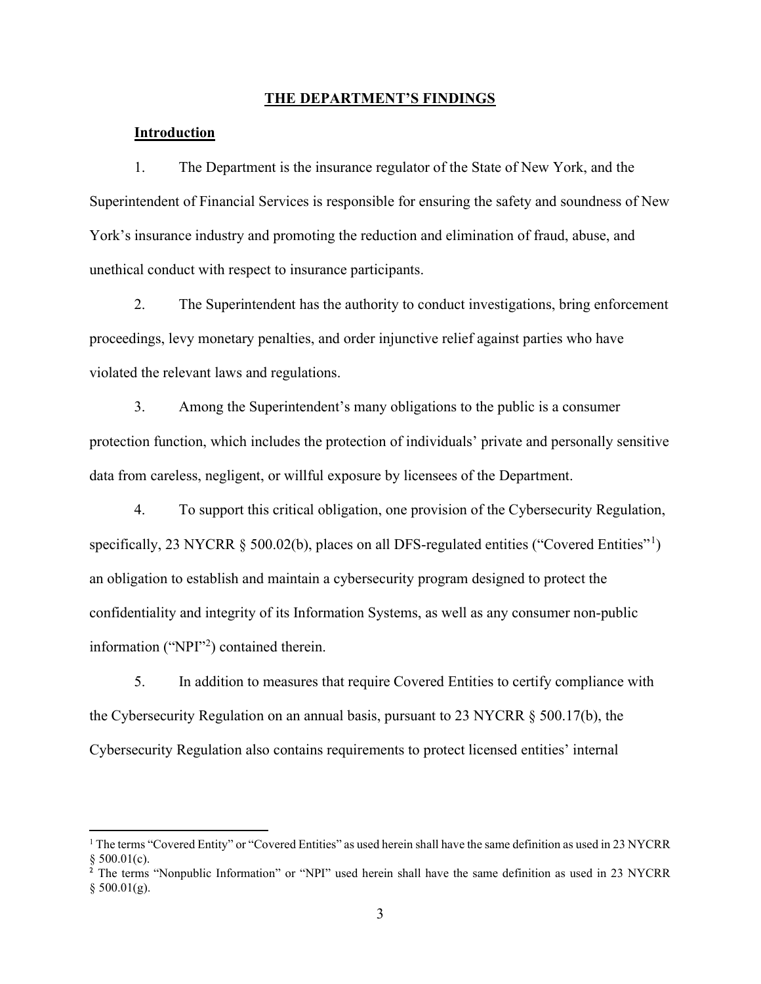#### THE DEPARTMENT'S FINDINGS

## Introduction

1. The Department is the insurance regulator of the State of New York, and the Superintendent of Financial Services is responsible for ensuring the safety and soundness of New York's insurance industry and promoting the reduction and elimination of fraud, abuse, and unethical conduct with respect to insurance participants.

2. The Superintendent has the authority to conduct investigations, bring enforcement proceedings, levy monetary penalties, and order injunctive relief against parties who have violated the relevant laws and regulations.

3. Among the Superintendent's many obligations to the public is a consumer protection function, which includes the protection of individuals' private and personally sensitive data from careless, negligent, or willful exposure by licensees of the Department.

4. To support this critical obligation, one provision of the Cybersecurity Regulation, specifically, 23 NYCRR § 500.02(b), places on all DFS-regulated entities ("Covered Entities"<sup>1</sup>) an obligation to establish and maintain a cybersecurity program designed to protect the confidentiality and integrity of its Information Systems, as well as any consumer non-public information ("NPI"<sup>2</sup>) contained therein.

5. In addition to measures that require Covered Entities to certify compliance with the Cybersecurity Regulation on an annual basis, pursuant to 23 NYCRR § 500.17(b), the Cybersecurity Regulation also contains requirements to protect licensed entities' internal

<sup>&</sup>lt;sup>1</sup> The terms "Covered Entity" or "Covered Entities" as used herein shall have the same definition as used in 23 NYCRR  $§ 500.01(c).$ 

<sup>&</sup>lt;sup>2</sup> The terms "Nonpublic Information" or "NPI" used herein shall have the same definition as used in 23 NYCRR  $§$  500.01(g).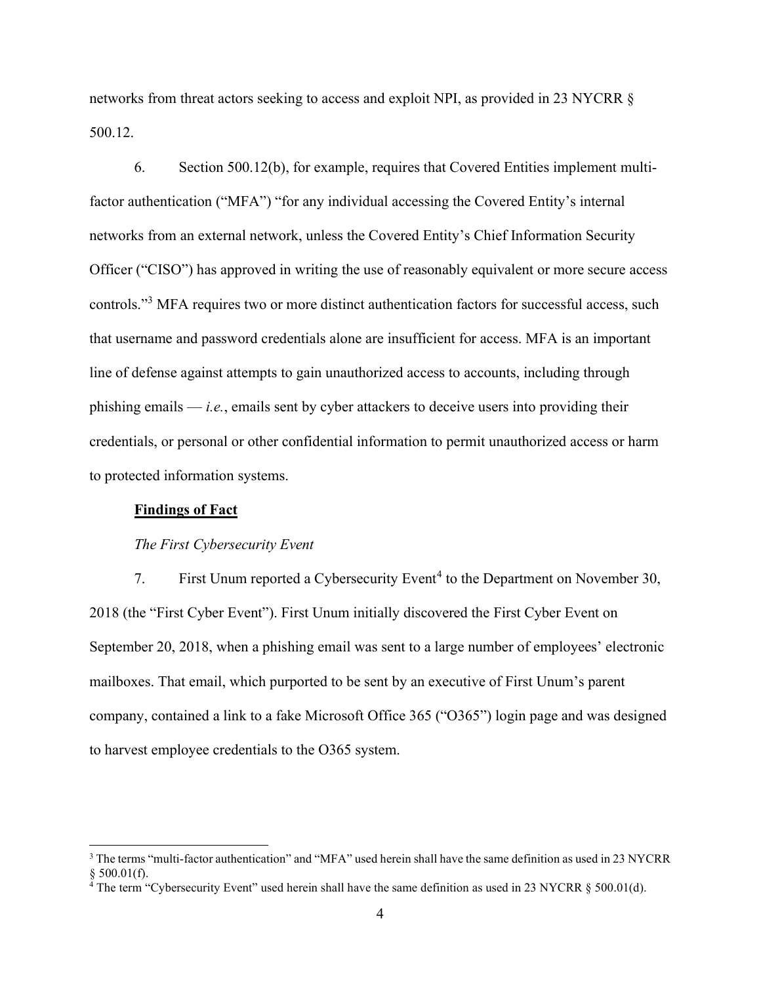networks from threat actors seeking to access and exploit NPI, as provided in 23 NYCRR § 500.12.

6. Section 500.12(b), for example, requires that Covered Entities implement multifactor authentication ("MFA") "for any individual accessing the Covered Entity's internal networks from an external network, unless the Covered Entity's Chief Information Security Officer ("CISO") has approved in writing the use of reasonably equivalent or more secure access controls."<sup>3</sup> MFA requires two or more distinct authentication factors for successful access, such that username and password credentials alone are insufficient for access. MFA is an important line of defense against attempts to gain unauthorized access to accounts, including through phishing emails  $-i.e.,$  emails sent by cyber attackers to deceive users into providing their credentials, or personal or other confidential information to permit unauthorized access or harm to protected information systems.

#### Findings of Fact

#### The First Cybersecurity Event

7. First Unum reported a Cybersecurity Event<sup>4</sup> to the Department on November 30, 2018 (the "First Cyber Event"). First Unum initially discovered the First Cyber Event on September 20, 2018, when a phishing email was sent to a large number of employees' electronic mailboxes. That email, which purported to be sent by an executive of First Unum's parent company, contained a link to a fake Microsoft Office 365 ("O365") login page and was designed to harvest employee credentials to the O365 system.

<sup>&</sup>lt;sup>3</sup> The terms "multi-factor authentication" and "MFA" used herein shall have the same definition as used in 23 NYCRR § 500.01(f).<br><sup>4</sup> The term "Cybersecurity Event" used herein shall have the same definition as used in 23 NYCRR § 500.01(d).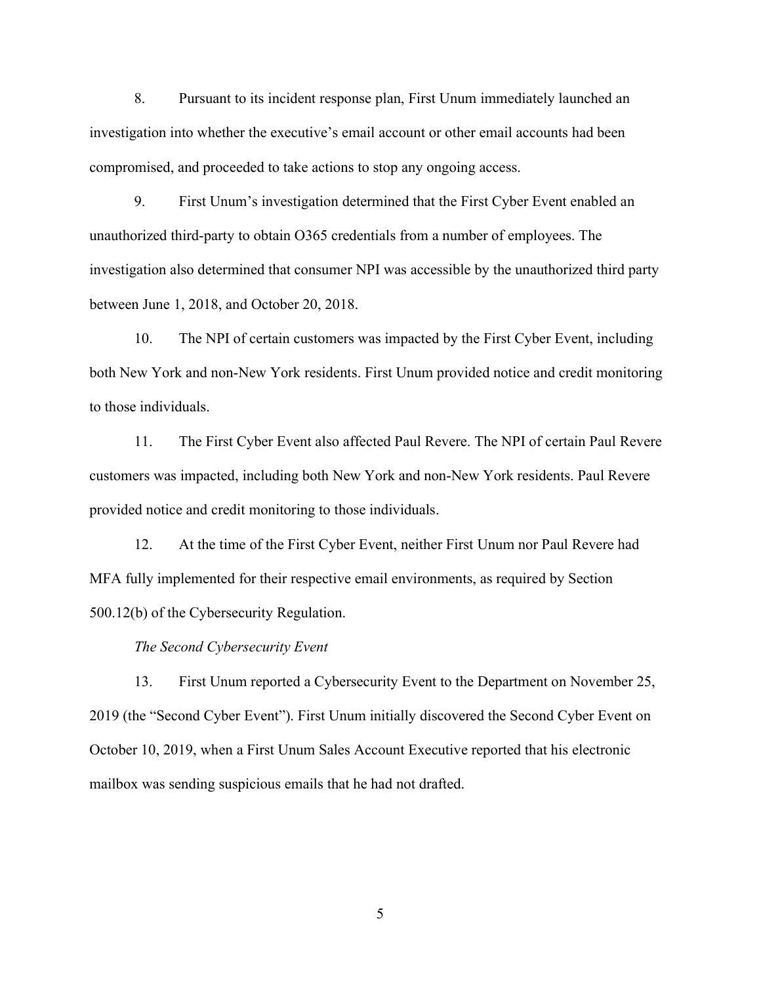8. Pursuant to its incident response plan, First Unum immediately launched an investigation into whether the executive's email account or other email accounts had been compromised, and proceeded to take actions to stop any ongoing access.

9. First Unum's investigation determined that the First Cyber Event enabled an unauthorized third-party to obtain O365 credentials from a number of employees. The investigation also determined that consumer NPI was accessible by the unauthorized third party between June 1, 2018, and October 20, 2018.

10. The NPI of certain customers was impacted by the First Cyber Event, including both New York and non-New York residents. First Unum provided notice and credit monitoring to those individuals.

11. The First Cyber Event also affected Paul Revere. The NPI of certain Paul Revere customers was impacted, including both New York and non-New York residents. Paul Revere provided notice and credit monitoring to those individuals.

12. At the time of the First Cyber Event, neither First Unum nor Paul Revere had MFA fully implemented for their respective email environments, as required by Section 500.12(b) of the Cybersecurity Regulation.

## The Second Cybersecurity Event

13. First Unum reported a Cybersecurity Event to the Department on November 25, 2019 (the "Second Cyber Event"). First Unum initially discovered the Second Cyber Event on October 10, 2019, when a First Unum Sales Account Executive reported that his electronic mailbox was sending suspicious emails that he had not drafted.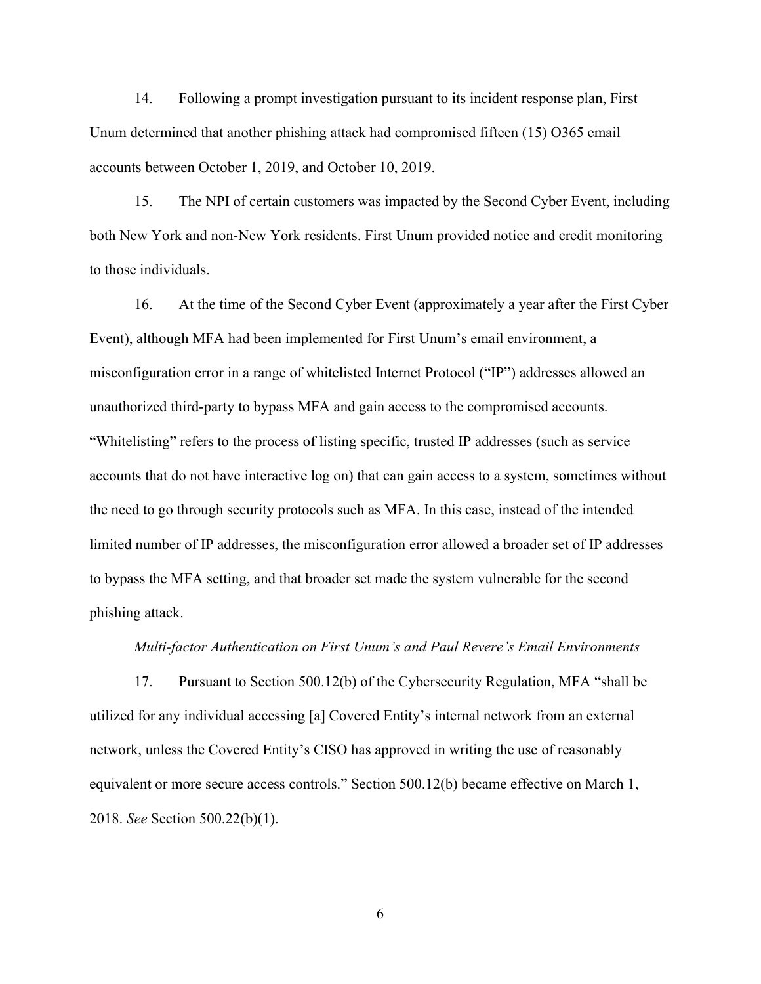14. Following a prompt investigation pursuant to its incident response plan, First Unum determined that another phishing attack had compromised fifteen (15) O365 email accounts between October 1, 2019, and October 10, 2019.

15. The NPI of certain customers was impacted by the Second Cyber Event, including both New York and non-New York residents. First Unum provided notice and credit monitoring to those individuals.

16. At the time of the Second Cyber Event (approximately a year after the First Cyber Event), although MFA had been implemented for First Unum's email environment, a misconfiguration error in a range of whitelisted Internet Protocol ("IP") addresses allowed an unauthorized third-party to bypass MFA and gain access to the compromised accounts. "Whitelisting" refers to the process of listing specific, trusted IP addresses (such as service accounts that do not have interactive log on) that can gain access to a system, sometimes without the need to go through security protocols such as MFA. In this case, instead of the intended limited number of IP addresses, the misconfiguration error allowed a broader set of IP addresses to bypass the MFA setting, and that broader set made the system vulnerable for the second phishing attack.

## Multi-factor Authentication on First Unum's and Paul Revere's Email Environments

17. Pursuant to Section 500.12(b) of the Cybersecurity Regulation, MFA "shall be utilized for any individual accessing [a] Covered Entity's internal network from an external network, unless the Covered Entity's CISO has approved in writing the use of reasonably equivalent or more secure access controls." Section 500.12(b) became effective on March 1, 2018. See Section 500.22(b)(1).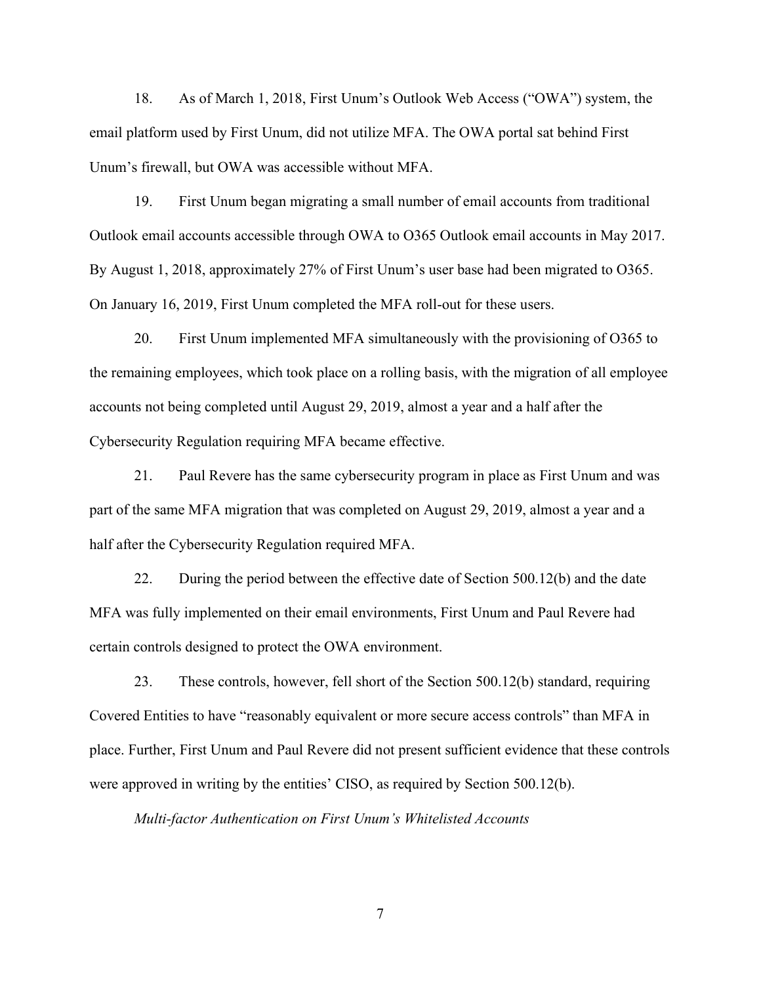18. As of March 1, 2018, First Unum's Outlook Web Access ("OWA") system, the email platform used by First Unum, did not utilize MFA. The OWA portal sat behind First Unum's firewall, but OWA was accessible without MFA.

19. First Unum began migrating a small number of email accounts from traditional Outlook email accounts accessible through OWA to O365 Outlook email accounts in May 2017. By August 1, 2018, approximately 27% of First Unum's user base had been migrated to O365. On January 16, 2019, First Unum completed the MFA roll-out for these users.

20. First Unum implemented MFA simultaneously with the provisioning of O365 to the remaining employees, which took place on a rolling basis, with the migration of all employee accounts not being completed until August 29, 2019, almost a year and a half after the Cybersecurity Regulation requiring MFA became effective.

21. Paul Revere has the same cybersecurity program in place as First Unum and was part of the same MFA migration that was completed on August 29, 2019, almost a year and a half after the Cybersecurity Regulation required MFA.

22. During the period between the effective date of Section 500.12(b) and the date MFA was fully implemented on their email environments, First Unum and Paul Revere had certain controls designed to protect the OWA environment.

23. These controls, however, fell short of the Section 500.12(b) standard, requiring Covered Entities to have "reasonably equivalent or more secure access controls" than MFA in place. Further, First Unum and Paul Revere did not present sufficient evidence that these controls were approved in writing by the entities' CISO, as required by Section 500.12(b).

Multi-factor Authentication on First Unum's Whitelisted Accounts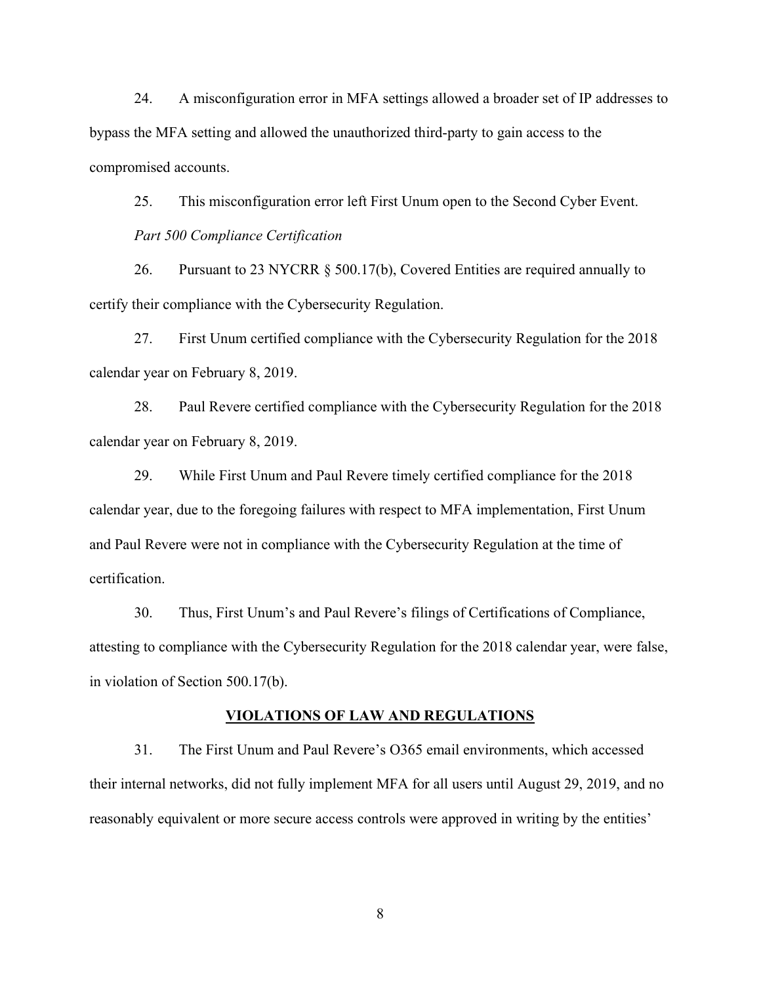24. A misconfiguration error in MFA settings allowed a broader set of IP addresses to bypass the MFA setting and allowed the unauthorized third-party to gain access to the compromised accounts.

25. This misconfiguration error left First Unum open to the Second Cyber Event. Part 500 Compliance Certification

26. Pursuant to 23 NYCRR § 500.17(b), Covered Entities are required annually to certify their compliance with the Cybersecurity Regulation.

27. First Unum certified compliance with the Cybersecurity Regulation for the 2018 calendar year on February 8, 2019.

28. Paul Revere certified compliance with the Cybersecurity Regulation for the 2018 calendar year on February 8, 2019.

29. While First Unum and Paul Revere timely certified compliance for the 2018 calendar year, due to the foregoing failures with respect to MFA implementation, First Unum and Paul Revere were not in compliance with the Cybersecurity Regulation at the time of certification.

30. Thus, First Unum's and Paul Revere's filings of Certifications of Compliance, attesting to compliance with the Cybersecurity Regulation for the 2018 calendar year, were false, in violation of Section 500.17(b).

#### VIOLATIONS OF LAW AND REGULATIONS

31. The First Unum and Paul Revere's O365 email environments, which accessed their internal networks, did not fully implement MFA for all users until August 29, 2019, and no reasonably equivalent or more secure access controls were approved in writing by the entities'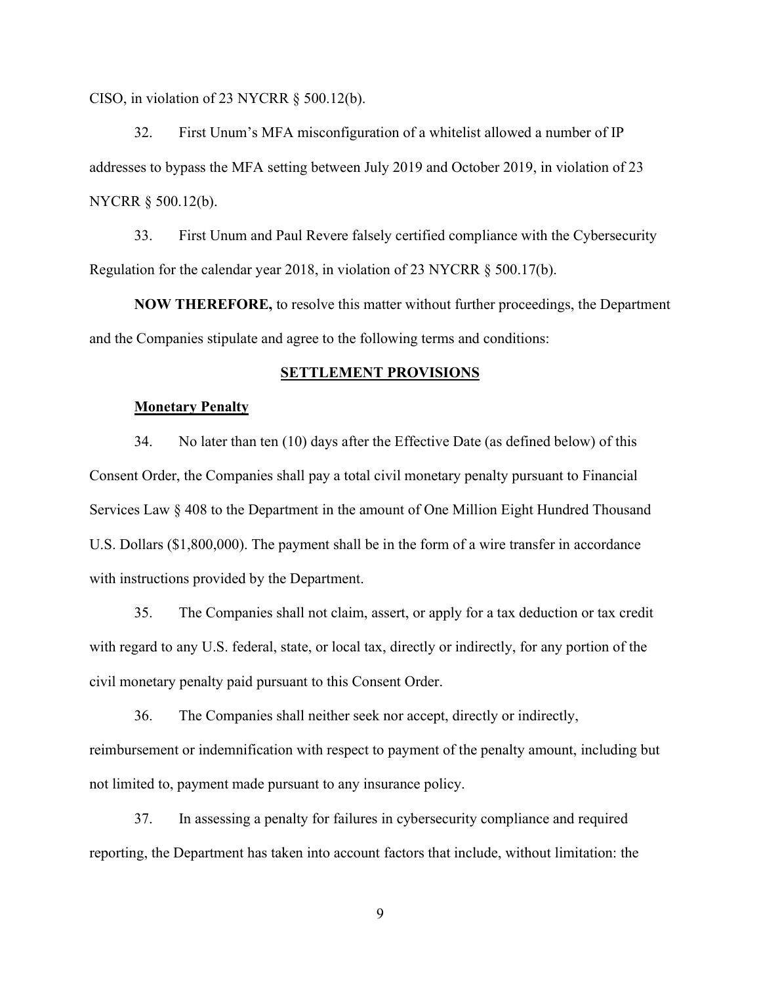CISO, in violation of 23 NYCRR § 500.12(b).

32. First Unum's MFA misconfiguration of a whitelist allowed a number of IP addresses to bypass the MFA setting between July 2019 and October 2019, in violation of 23 NYCRR § 500.12(b).

33. First Unum and Paul Revere falsely certified compliance with the Cybersecurity Regulation for the calendar year 2018, in violation of 23 NYCRR § 500.17(b).

NOW THEREFORE, to resolve this matter without further proceedings, the Department and the Companies stipulate and agree to the following terms and conditions:

## SETTLEMENT PROVISIONS

#### **Monetary Penalty**

34. No later than ten (10) days after the Effective Date (as defined below) of this Consent Order, the Companies shall pay a total civil monetary penalty pursuant to Financial Services Law § 408 to the Department in the amount of One Million Eight Hundred Thousand U.S. Dollars (\$1,800,000). The payment shall be in the form of a wire transfer in accordance with instructions provided by the Department.

35. The Companies shall not claim, assert, or apply for a tax deduction or tax credit with regard to any U.S. federal, state, or local tax, directly or indirectly, for any portion of the civil monetary penalty paid pursuant to this Consent Order.

36. The Companies shall neither seek nor accept, directly or indirectly, reimbursement or indemnification with respect to payment of the penalty amount, including but not limited to, payment made pursuant to any insurance policy.

37. In assessing a penalty for failures in cybersecurity compliance and required reporting, the Department has taken into account factors that include, without limitation: the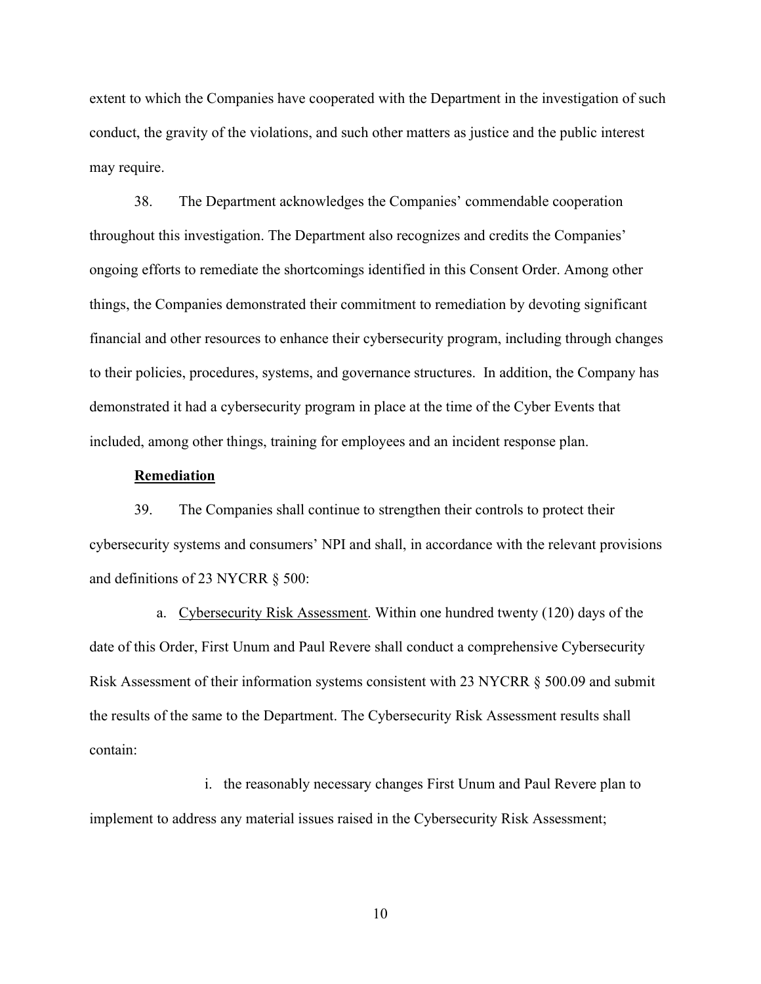extent to which the Companies have cooperated with the Department in the investigation of such conduct, the gravity of the violations, and such other matters as justice and the public interest may require.

38. The Department acknowledges the Companies' commendable cooperation throughout this investigation. The Department also recognizes and credits the Companies' ongoing efforts to remediate the shortcomings identified in this Consent Order. Among other things, the Companies demonstrated their commitment to remediation by devoting significant financial and other resources to enhance their cybersecurity program, including through changes to their policies, procedures, systems, and governance structures. In addition, the Company has demonstrated it had a cybersecurity program in place at the time of the Cyber Events that included, among other things, training for employees and an incident response plan.

#### Remediation

39. The Companies shall continue to strengthen their controls to protect their cybersecurity systems and consumers' NPI and shall, in accordance with the relevant provisions and definitions of 23 NYCRR § 500:

a. Cybersecurity Risk Assessment. Within one hundred twenty (120) days of the date of this Order, First Unum and Paul Revere shall conduct a comprehensive Cybersecurity Risk Assessment of their information systems consistent with 23 NYCRR § 500.09 and submit the results of the same to the Department. The Cybersecurity Risk Assessment results shall contain:

i. the reasonably necessary changes First Unum and Paul Revere plan to implement to address any material issues raised in the Cybersecurity Risk Assessment;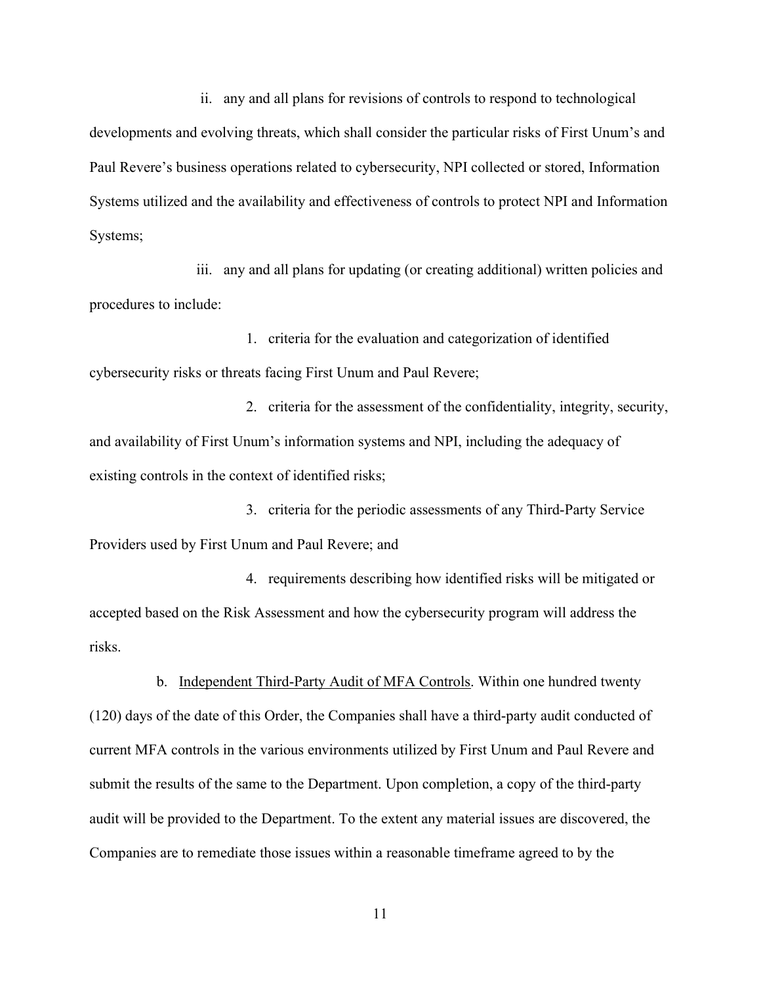ii. any and all plans for revisions of controls to respond to technological

developments and evolving threats, which shall consider the particular risks of First Unum's and Paul Revere's business operations related to cybersecurity, NPI collected or stored, Information Systems utilized and the availability and effectiveness of controls to protect NPI and Information Systems;

iii. any and all plans for updating (or creating additional) written policies and procedures to include:

1. criteria for the evaluation and categorization of identified cybersecurity risks or threats facing First Unum and Paul Revere;

2. criteria for the assessment of the confidentiality, integrity, security, and availability of First Unum's information systems and NPI, including the adequacy of existing controls in the context of identified risks;

3. criteria for the periodic assessments of any Third-Party Service Providers used by First Unum and Paul Revere; and

4. requirements describing how identified risks will be mitigated or accepted based on the Risk Assessment and how the cybersecurity program will address the risks.

b. Independent Third-Party Audit of MFA Controls. Within one hundred twenty (120) days of the date of this Order, the Companies shall have a third-party audit conducted of current MFA controls in the various environments utilized by First Unum and Paul Revere and submit the results of the same to the Department. Upon completion, a copy of the third-party audit will be provided to the Department. To the extent any material issues are discovered, the Companies are to remediate those issues within a reasonable timeframe agreed to by the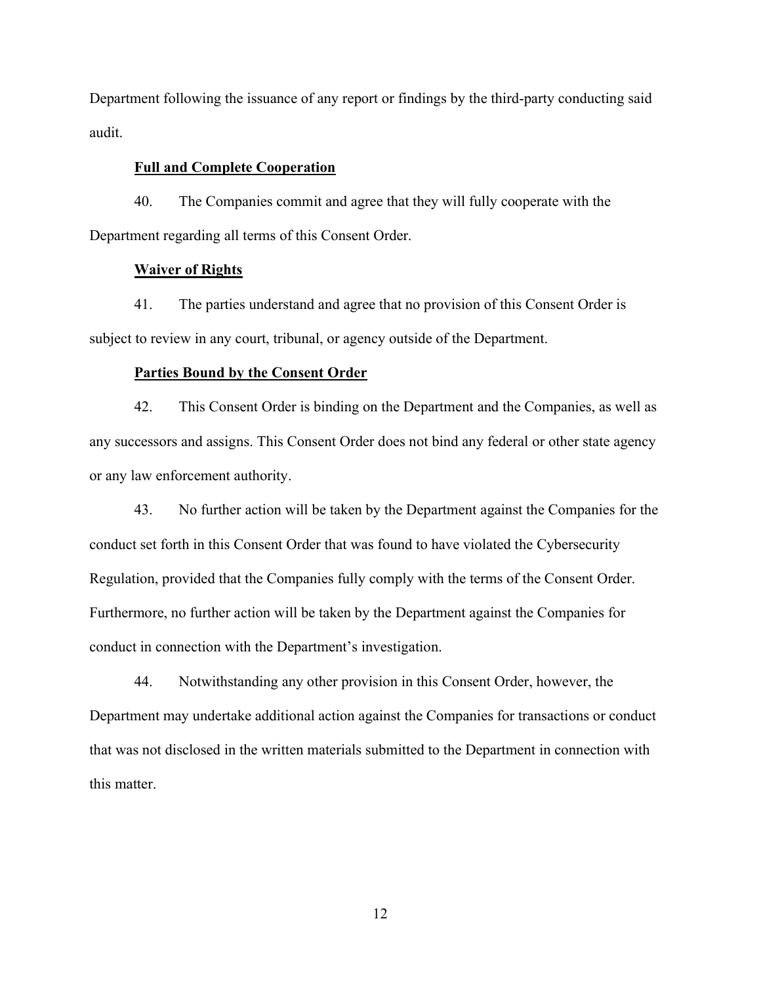Department following the issuance of any report or findings by the third-party conducting said audit.

## Full and Complete Cooperation

40. The Companies commit and agree that they will fully cooperate with the Department regarding all terms of this Consent Order.

## Waiver of Rights

41. The parties understand and agree that no provision of this Consent Order is subject to review in any court, tribunal, or agency outside of the Department.

### Parties Bound by the Consent Order

42. This Consent Order is binding on the Department and the Companies, as well as any successors and assigns. This Consent Order does not bind any federal or other state agency or any law enforcement authority.

43. No further action will be taken by the Department against the Companies for the conduct set forth in this Consent Order that was found to have violated the Cybersecurity Regulation, provided that the Companies fully comply with the terms of the Consent Order. Furthermore, no further action will be taken by the Department against the Companies for conduct in connection with the Department's investigation.

44. Notwithstanding any other provision in this Consent Order, however, the Department may undertake additional action against the Companies for transactions or conduct that was not disclosed in the written materials submitted to the Department in connection with this matter.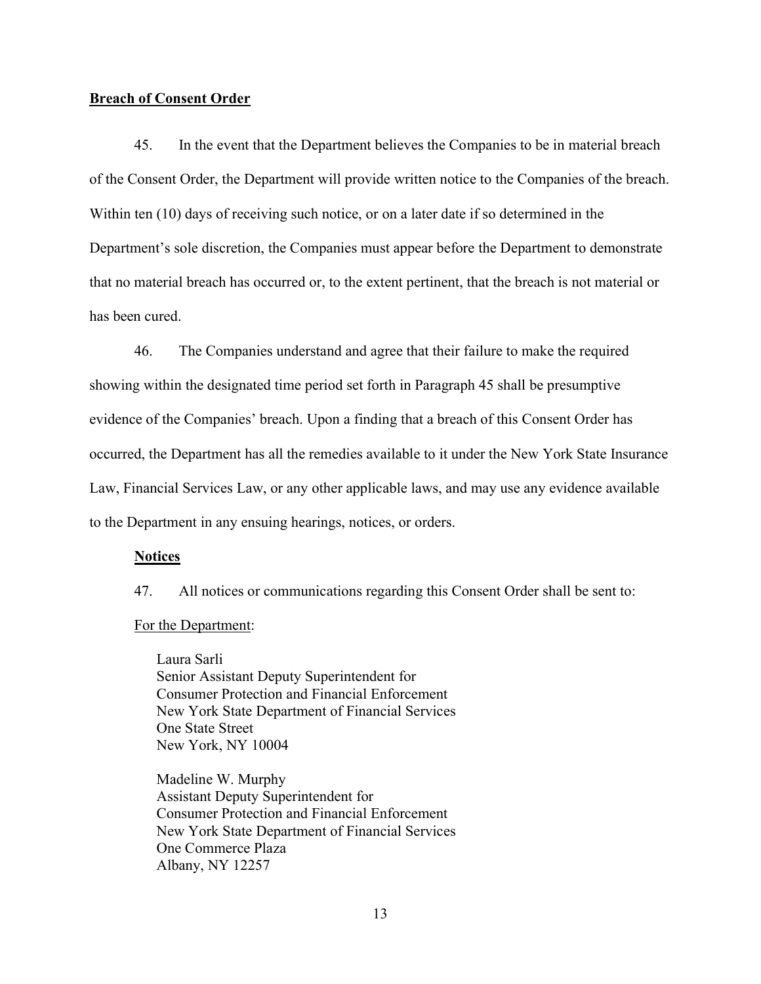## Breach of Consent Order

45. In the event that the Department believes the Companies to be in material breach of the Consent Order, the Department will provide written notice to the Companies of the breach. Within ten (10) days of receiving such notice, or on a later date if so determined in the Department's sole discretion, the Companies must appear before the Department to demonstrate that no material breach has occurred or, to the extent pertinent, that the breach is not material or has been cured.

46. The Companies understand and agree that their failure to make the required showing within the designated time period set forth in Paragraph 45 shall be presumptive evidence of the Companies' breach. Upon a finding that a breach of this Consent Order has occurred, the Department has all the remedies available to it under the New York State Insurance Law, Financial Services Law, or any other applicable laws, and may use any evidence available to the Department in any ensuing hearings, notices, or orders.

### **Notices**

47. All notices or communications regarding this Consent Order shall be sent to:

## For the Department:

Laura Sarli Senior Assistant Deputy Superintendent for Consumer Protection and Financial Enforcement New York State Department of Financial Services One State Street New York, NY 10004

Madeline W. Murphy Assistant Deputy Superintendent for Consumer Protection and Financial Enforcement New York State Department of Financial Services One Commerce Plaza Albany, NY 12257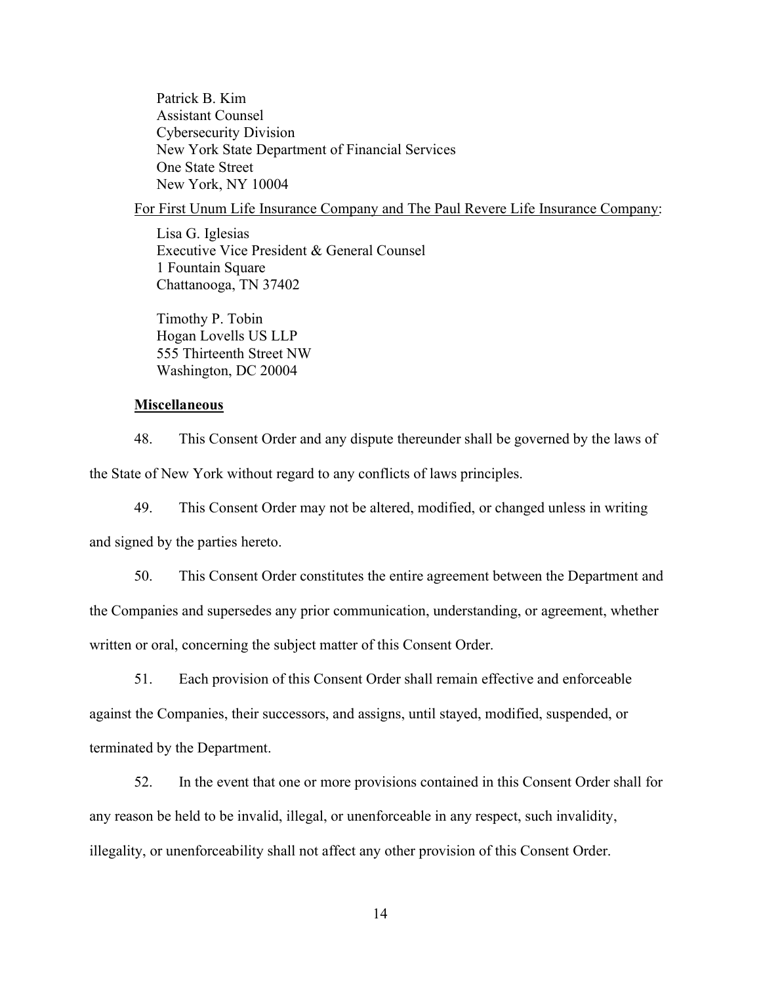Patrick B. Kim Assistant Counsel Cybersecurity Division New York State Department of Financial Services One State Street New York, NY 10004

## For First Unum Life Insurance Company and The Paul Revere Life Insurance Company:

Lisa G. Iglesias Executive Vice President & General Counsel 1 Fountain Square Chattanooga, TN 37402

Timothy P. Tobin Hogan Lovells US LLP 555 Thirteenth Street NW Washington, DC 20004

## Miscellaneous

48. This Consent Order and any dispute thereunder shall be governed by the laws of the State of New York without regard to any conflicts of laws principles.

49. This Consent Order may not be altered, modified, or changed unless in writing and signed by the parties hereto.

50. This Consent Order constitutes the entire agreement between the Department and the Companies and supersedes any prior communication, understanding, or agreement, whether written or oral, concerning the subject matter of this Consent Order.

51. Each provision of this Consent Order shall remain effective and enforceable against the Companies, their successors, and assigns, until stayed, modified, suspended, or terminated by the Department.

52. In the event that one or more provisions contained in this Consent Order shall for any reason be held to be invalid, illegal, or unenforceable in any respect, such invalidity, illegality, or unenforceability shall not affect any other provision of this Consent Order.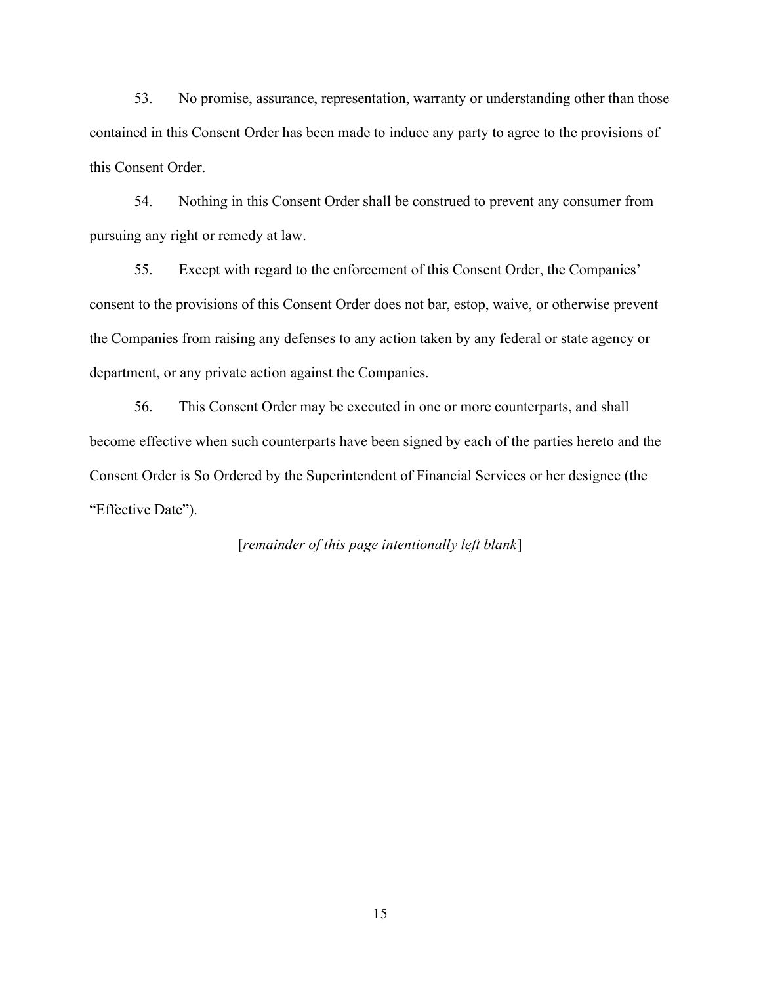53. No promise, assurance, representation, warranty or understanding other than those contained in this Consent Order has been made to induce any party to agree to the provisions of this Consent Order.

54. Nothing in this Consent Order shall be construed to prevent any consumer from pursuing any right or remedy at law.

55. Except with regard to the enforcement of this Consent Order, the Companies' consent to the provisions of this Consent Order does not bar, estop, waive, or otherwise prevent the Companies from raising any defenses to any action taken by any federal or state agency or department, or any private action against the Companies.

56. This Consent Order may be executed in one or more counterparts, and shall become effective when such counterparts have been signed by each of the parties hereto and the Consent Order is So Ordered by the Superintendent of Financial Services or her designee (the "Effective Date").

[remainder of this page intentionally left blank]